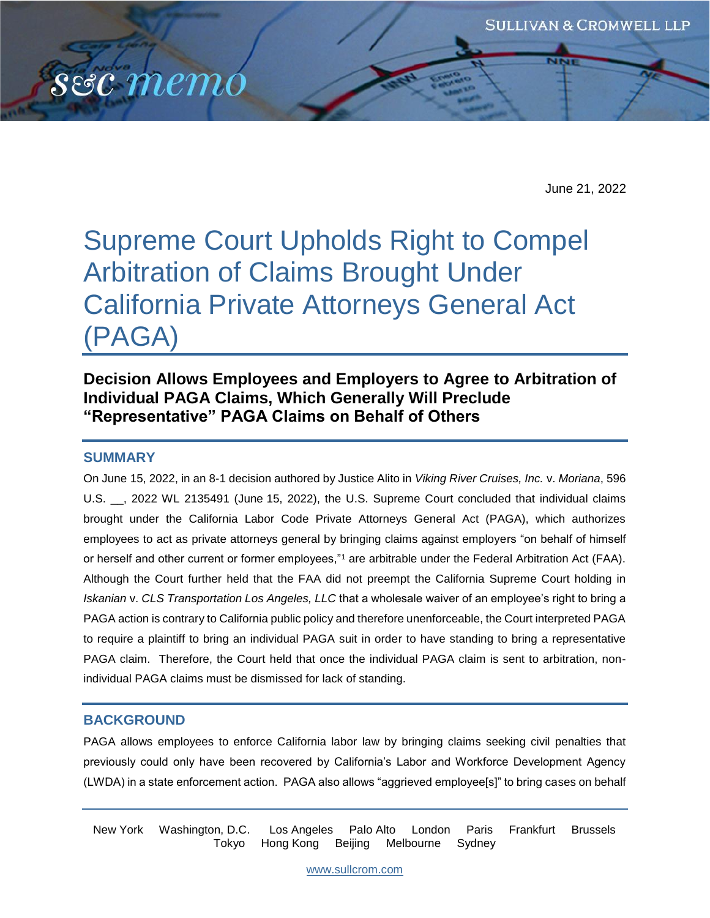

June 21, 2022

# Supreme Court Upholds Right to Compel Arbitration of Claims Brought Under California Private Attorneys General Act (PAGA)

# **Decision Allows Employees and Employers to Agree to Arbitration of Individual PAGA Claims, Which Generally Will Preclude "Representative" PAGA Claims on Behalf of Others**

## **SUMMARY**

On June 15, 2022, in an 8-1 decision authored by Justice Alito in *Viking River Cruises, Inc.* v. *Moriana*, 596 U.S. \_\_, 2022 WL 2135491 (June 15, 2022), the U.S. Supreme Court concluded that individual claims brought under the California Labor Code Private Attorneys General Act (PAGA), which authorizes employees to act as private attorneys general by bringing claims against employers "on behalf of himself or herself and other current or former employees,"<sup>1</sup> are arbitrable under the Federal Arbitration Act (FAA). Although the Court further held that the FAA did not preempt the California Supreme Court holding in *Iskanian* v. *CLS Transportation Los Angeles, LLC* that a wholesale waiver of an employee's right to bring a PAGA action is contrary to California public policy and therefore unenforceable, the Court interpreted PAGA to require a plaintiff to bring an individual PAGA suit in order to have standing to bring a representative PAGA claim. Therefore, the Court held that once the individual PAGA claim is sent to arbitration, nonindividual PAGA claims must be dismissed for lack of standing.

## **BACKGROUND**

PAGA allows employees to enforce California labor law by bringing claims seeking civil penalties that previously could only have been recovered by California's Labor and Workforce Development Agency (LWDA) in a state enforcement action. PAGA also allows "aggrieved employee[s]" to bring cases on behalf

New York Washington, D.C. Los Angeles Palo Alto London Paris Frankfurt Brussels Tokyo Hong Kong Beijing Melbourne Sydney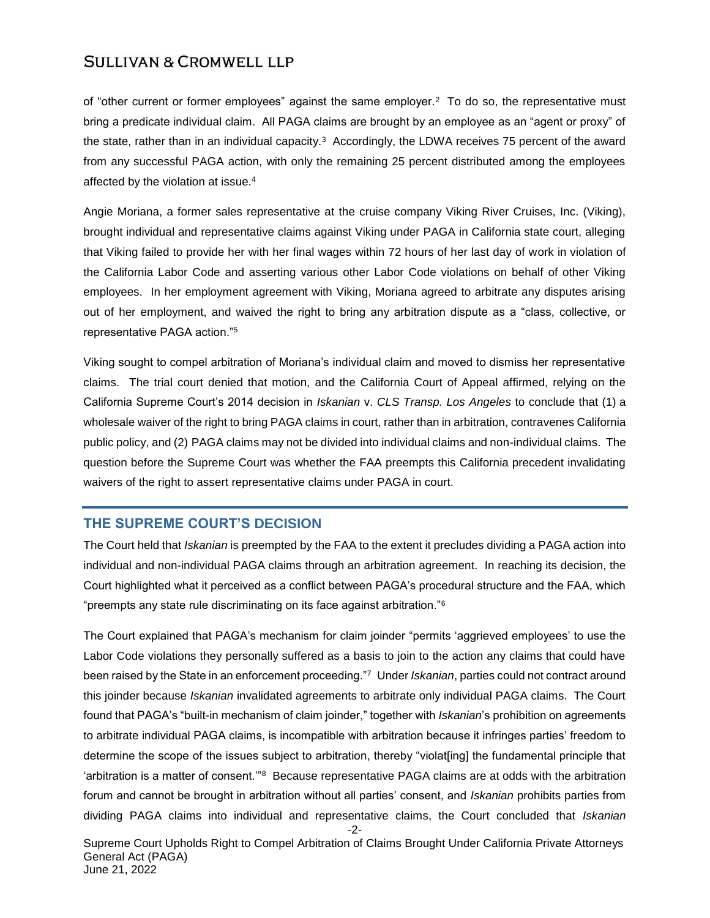of "other current or former employees" against the same employer.<sup>2</sup> To do so, the representative must bring a predicate individual claim. All PAGA claims are brought by an employee as an "agent or proxy" of the state, rather than in an individual capacity.<sup>3</sup> Accordingly, the LDWA receives 75 percent of the award from any successful PAGA action, with only the remaining 25 percent distributed among the employees affected by the violation at issue.<sup>4</sup>

Angie Moriana, a former sales representative at the cruise company Viking River Cruises, Inc. (Viking), brought individual and representative claims against Viking under PAGA in California state court, alleging that Viking failed to provide her with her final wages within 72 hours of her last day of work in violation of the California Labor Code and asserting various other Labor Code violations on behalf of other Viking employees. In her employment agreement with Viking, Moriana agreed to arbitrate any disputes arising out of her employment, and waived the right to bring any arbitration dispute as a "class, collective, or representative PAGA action."<sup>5</sup>

Viking sought to compel arbitration of Moriana's individual claim and moved to dismiss her representative claims. The trial court denied that motion, and the California Court of Appeal affirmed, relying on the California Supreme Court's 2014 decision in *Iskanian* v. *CLS Transp. Los Angeles* to conclude that (1) a wholesale waiver of the right to bring PAGA claims in court, rather than in arbitration, contravenes California public policy, and (2) PAGA claims may not be divided into individual claims and non-individual claims. The question before the Supreme Court was whether the FAA preempts this California precedent invalidating waivers of the right to assert representative claims under PAGA in court.

## **THE SUPREME COURT'S DECISION**

The Court held that *Iskanian* is preempted by the FAA to the extent it precludes dividing a PAGA action into individual and non-individual PAGA claims through an arbitration agreement. In reaching its decision, the Court highlighted what it perceived as a conflict between PAGA's procedural structure and the FAA, which "preempts any state rule discriminating on its face against arbitration."<sup>6</sup>

The Court explained that PAGA's mechanism for claim joinder "permits 'aggrieved employees' to use the Labor Code violations they personally suffered as a basis to join to the action any claims that could have been raised by the State in an enforcement proceeding."<sup>7</sup> Under *Iskanian*, parties could not contract around this joinder because *Iskanian* invalidated agreements to arbitrate only individual PAGA claims. The Court found that PAGA's "built-in mechanism of claim joinder," together with *Iskanian*'s prohibition on agreements to arbitrate individual PAGA claims, is incompatible with arbitration because it infringes parties' freedom to determine the scope of the issues subject to arbitration, thereby "violat[ing] the fundamental principle that 'arbitration is a matter of consent.'"<sup>8</sup> Because representative PAGA claims are at odds with the arbitration forum and cannot be brought in arbitration without all parties' consent, and *Iskanian* prohibits parties from dividing PAGA claims into individual and representative claims, the Court concluded that *Iskanian* 

-2- Supreme Court Upholds Right to Compel Arbitration of Claims Brought Under California Private Attorneys General Act (PAGA) June 21, 2022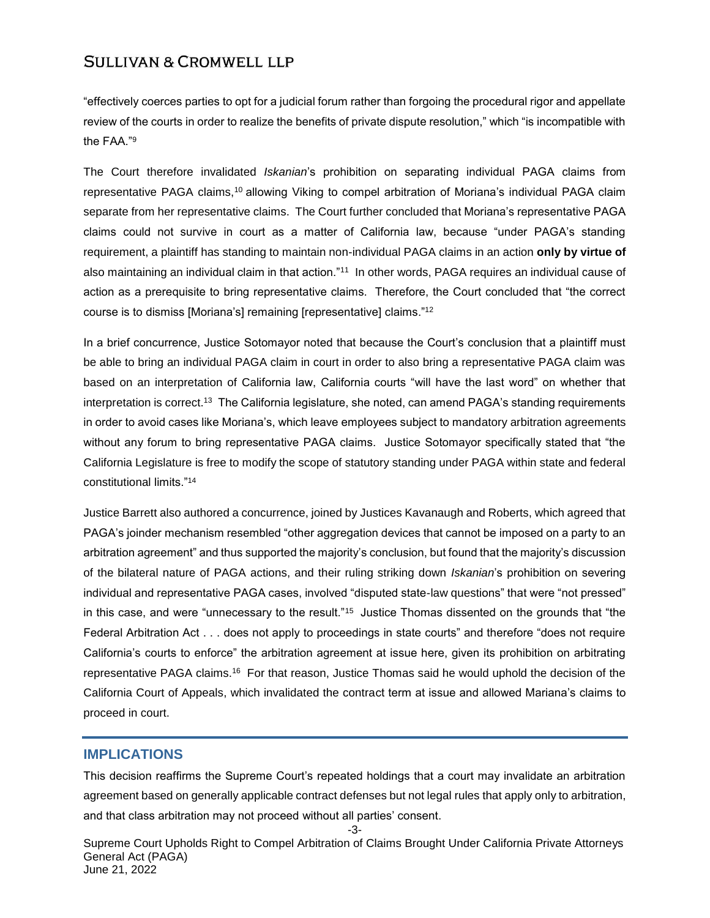"effectively coerces parties to opt for a judicial forum rather than forgoing the procedural rigor and appellate review of the courts in order to realize the benefits of private dispute resolution," which "is incompatible with the FAA."<sup>9</sup>

The Court therefore invalidated *Iskanian*'s prohibition on separating individual PAGA claims from representative PAGA claims,<sup>10</sup> allowing Viking to compel arbitration of Moriana's individual PAGA claim separate from her representative claims. The Court further concluded that Moriana's representative PAGA claims could not survive in court as a matter of California law, because "under PAGA's standing requirement, a plaintiff has standing to maintain non-individual PAGA claims in an action **only by virtue of** also maintaining an individual claim in that action."<sup>11</sup> In other words, PAGA requires an individual cause of action as a prerequisite to bring representative claims. Therefore, the Court concluded that "the correct course is to dismiss [Moriana's] remaining [representative] claims."<sup>12</sup>

In a brief concurrence, Justice Sotomayor noted that because the Court's conclusion that a plaintiff must be able to bring an individual PAGA claim in court in order to also bring a representative PAGA claim was based on an interpretation of California law, California courts "will have the last word" on whether that interpretation is correct. $^{13}$  The California legislature, she noted, can amend PAGA's standing requirements in order to avoid cases like Moriana's, which leave employees subject to mandatory arbitration agreements without any forum to bring representative PAGA claims. Justice Sotomayor specifically stated that "the California Legislature is free to modify the scope of statutory standing under PAGA within state and federal constitutional limits."<sup>14</sup>

Justice Barrett also authored a concurrence, joined by Justices Kavanaugh and Roberts, which agreed that PAGA's joinder mechanism resembled "other aggregation devices that cannot be imposed on a party to an arbitration agreement" and thus supported the majority's conclusion, but found that the majority's discussion of the bilateral nature of PAGA actions, and their ruling striking down *Iskanian*'s prohibition on severing individual and representative PAGA cases, involved "disputed state-law questions" that were "not pressed" in this case, and were "unnecessary to the result."<sup>15</sup> Justice Thomas dissented on the grounds that "the Federal Arbitration Act . . . does not apply to proceedings in state courts" and therefore "does not require California's courts to enforce" the arbitration agreement at issue here, given its prohibition on arbitrating representative PAGA claims.<sup>16</sup> For that reason, Justice Thomas said he would uphold the decision of the California Court of Appeals, which invalidated the contract term at issue and allowed Mariana's claims to proceed in court.

#### **IMPLICATIONS**

This decision reaffirms the Supreme Court's repeated holdings that a court may invalidate an arbitration agreement based on generally applicable contract defenses but not legal rules that apply only to arbitration, and that class arbitration may not proceed without all parties' consent.

-3-

Supreme Court Upholds Right to Compel Arbitration of Claims Brought Under California Private Attorneys General Act (PAGA) June 21, 2022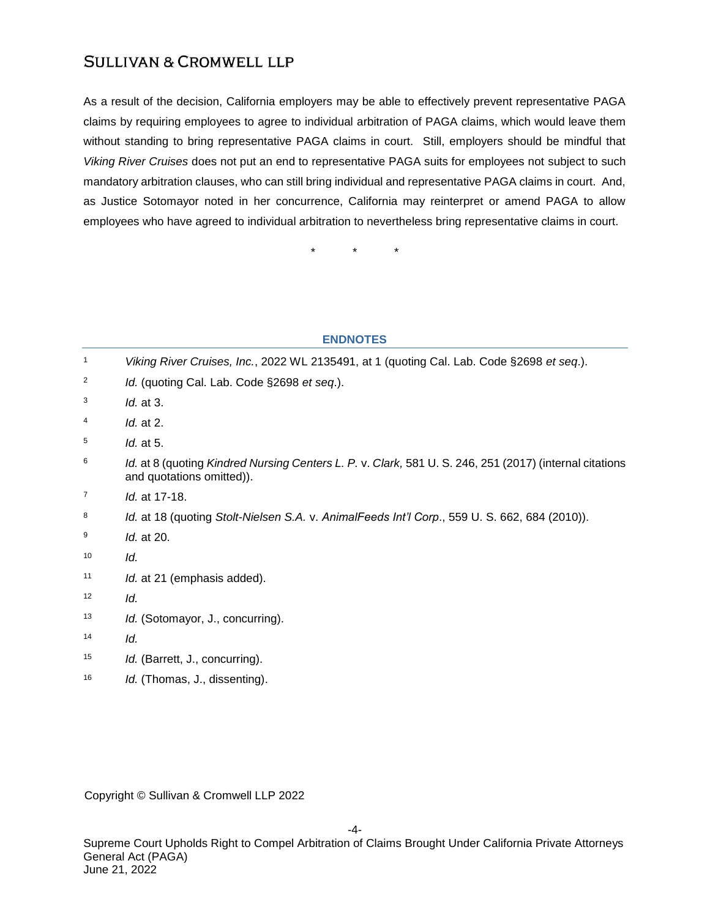As a result of the decision, California employers may be able to effectively prevent representative PAGA claims by requiring employees to agree to individual arbitration of PAGA claims, which would leave them without standing to bring representative PAGA claims in court. Still, employers should be mindful that *Viking River Cruises* does not put an end to representative PAGA suits for employees not subject to such mandatory arbitration clauses, who can still bring individual and representative PAGA claims in court. And, as Justice Sotomayor noted in her concurrence, California may reinterpret or amend PAGA to allow employees who have agreed to individual arbitration to nevertheless bring representative claims in court.

\* \* \*

#### **ENDNOTES**

| 1  | Viking River Cruises, Inc., 2022 WL 2135491, at 1 (quoting Cal. Lab. Code §2698 et seq.).                                            |
|----|--------------------------------------------------------------------------------------------------------------------------------------|
| 2  | Id. (quoting Cal. Lab. Code §2698 et seq.).                                                                                          |
| 3  | Id. at 3.                                                                                                                            |
| 4  | <i>ld.</i> at 2.                                                                                                                     |
| 5  | Id. at 5.                                                                                                                            |
| 6  | Id. at 8 (quoting Kindred Nursing Centers L. P. v. Clark, 581 U. S. 246, 251 (2017) (internal citations<br>and quotations omitted)). |
| 7  | Id. at 17-18.                                                                                                                        |
| 8  | Id. at 18 (quoting Stolt-Nielsen S.A. v. AnimalFeeds Int'l Corp., 559 U. S. 662, 684 (2010)).                                        |
| 9  | Id. at 20.                                                                                                                           |
| 10 | ld.                                                                                                                                  |
| 11 | Id. at 21 (emphasis added).                                                                                                          |
| 12 | ld.                                                                                                                                  |
| 13 | Id. (Sotomayor, J., concurring).                                                                                                     |
| 14 | ld.                                                                                                                                  |
| 15 | Id. (Barrett, J., concurring).                                                                                                       |
| 16 | Id. (Thomas, J., dissenting).                                                                                                        |
|    |                                                                                                                                      |

Copyright © Sullivan & Cromwell LLP 2022

-4-